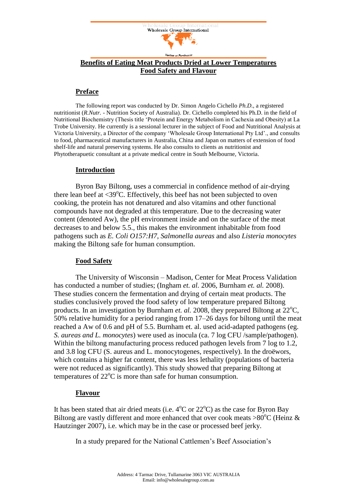

# **Benefits of Eating Meat Products Dried at Lower Temperatures Food Safety and Flavour**

## **Preface**

The following report was conducted by Dr. Simon Angelo Cichello *Ph.D*., a registered nutritionist (*R.Nutr.* - Nutrition Society of Australia). Dr. Cichello completed his Ph.D. in the field of Nutritional Biochemistry (Thesis title 'Protein and Energy Metabolism in Cachexia and Obesity) at La Trobe University. He currently is a sessional lecturer in the subject of Food and Nutritional Analysis at Victoria University, a Director of the company 'Wholesale Group International Pty Ltd'., and consults to food, pharmaceutical manufacturers in Australia, China and Japan on matters of extension of food shelf-life and natural preserving systems. He also consults to clients as nutritionist and Phytotherapuetic consultant at a private medical centre in South Melbourne, Victoria.

### **Introduction**

Byron Bay Biltong, uses a commercial in confidence method of air-drying there lean beef at  $\langle 39^{\circ}$ C. Effectively, this beef has not been subjected to oven cooking, the protein has not denatured and also vitamins and other functional compounds have not degraded at this temperature. Due to the decreasing water content (denoted Aw), the pH environment inside and on the surface of the meat decreases to and below 5.5., this makes the environment inhabitable from food pathogens such as *E. Coli O157:H7*, *Salmonella aureas* and also *Listeria monocytes* making the Biltong safe for human consumption.

## **Food Safety**

The University of Wisconsin – Madison, Center for Meat Process Validation has conducted a number of studies; (Ingham *et. al.* 2006, Burnham *et. al.* 2008). These studies concern the fermentation and drying of certain meat products. The studies conclusively proved the food safety of low temperature prepared Biltong products. In an investigation by Burnham *et. al.* 2008, they prepared Biltong at  $22^{\circ}$ C, 50% relative humidity for a period ranging from 17–26 days for biltong until the meat reached a Aw of 0.6 and pH of 5.5. Burnham et. al. used acid-adapted pathogens (eg. *S. aureas and L. monocytes*) were used as inocula (ca. 7 log CFU /sample/pathogen). Within the biltong manufacturing process reduced pathogen levels from 7 log to 1.2, and 3.8 log CFU (S. aureus and L. monocytogenes, respectively). In the droëwors, which contains a higher fat content, there was less lethality (populations of bacteria were not reduced as significantly). This study showed that preparing Biltong at temperatures of  $22^{\circ}$ C is more than safe for human consumption.

### **Flavour**

It has been stated that air dried meats (i.e.  $4^{\circ}$ C or  $22^{\circ}$ C) as the case for Byron Bay Biltong are vastly different and more enhanced that over cook meats  $>80^{\circ}$ C (Heinz & Hautzinger 2007), i.e. which may be in the case or processed beef jerky.

In a study prepared for the National Cattlemen's Beef Association's